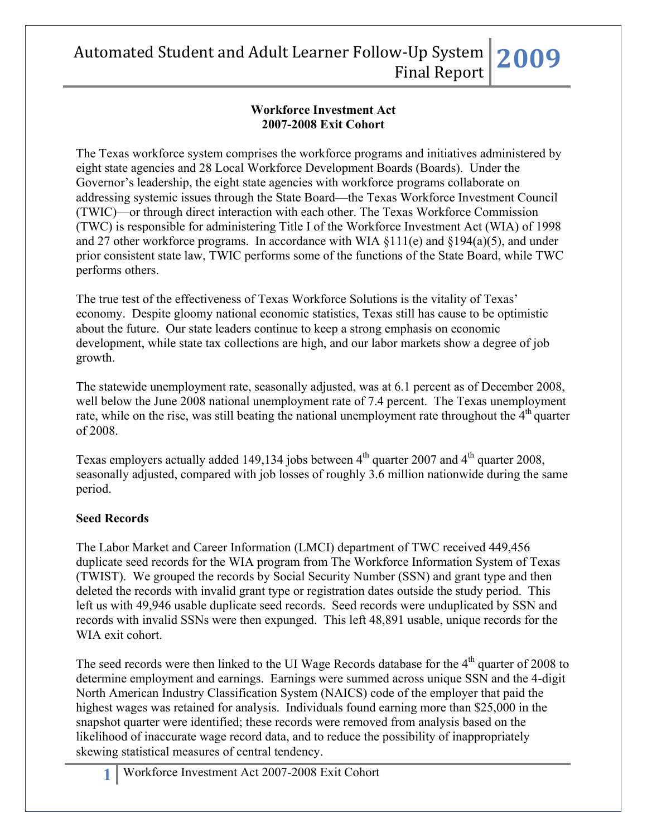#### **Workforce Investment Act 2007-2008 Exit Cohort**

The Texas workforce system comprises the workforce programs and initiatives administered by eight state agencies and 28 Local Workforce Development Boards (Boards). Under the Governor's leadership, the eight state agencies with workforce programs collaborate on addressing systemic issues through the State Board—the Texas Workforce Investment Council (TWIC)—or through direct interaction with each other. The Texas Workforce Commission (TWC) is responsible for administering Title I of the Workforce Investment Act (WIA) of 1998 and 27 other workforce programs. In accordance with WIA §111(e) and §194(a)(5), and under prior consistent state law, TWIC performs some of the functions of the State Board, while TWC performs others.

The true test of the effectiveness of Texas Workforce Solutions is the vitality of Texas' economy. Despite gloomy national economic statistics, Texas still has cause to be optimistic about the future. Our state leaders continue to keep a strong emphasis on economic development, while state tax collections are high, and our labor markets show a degree of job growth.

The statewide unemployment rate, seasonally adjusted, was at 6.1 percent as of December 2008, well below the June 2008 national unemployment rate of 7.4 percent. The Texas unemployment rate, while on the rise, was still beating the national unemployment rate throughout the  $4<sup>th</sup>$  quarter of 2008.

Texas employers actually added 149,134 jobs between  $4<sup>th</sup>$  quarter 2007 and  $4<sup>th</sup>$  quarter 2008, seasonally adjusted, compared with job losses of roughly 3.6 million nationwide during the same period.

### **Seed Records**

The Labor Market and Career Information (LMCI) department of TWC received 449,456 duplicate seed records for the WIA program from The Workforce Information System of Texas (TWIST). We grouped the records by Social Security Number (SSN) and grant type and then deleted the records with invalid grant type or registration dates outside the study period. This left us with 49,946 usable duplicate seed records. Seed records were unduplicated by SSN and records with invalid SSNs were then expunged. This left 48,891 usable, unique records for the WIA exit cohort.

The seed records were then linked to the UI Wage Records database for the  $4<sup>th</sup>$  quarter of 2008 to determine employment and earnings. Earnings were summed across unique SSN and the 4-digit North American Industry Classification System (NAICS) code of the employer that paid the highest wages was retained for analysis. Individuals found earning more than \$25,000 in the snapshot quarter were identified; these records were removed from analysis based on the likelihood of inaccurate wage record data, and to reduce the possibility of inappropriately skewing statistical measures of central tendency.

**1** Workforce Investment Act 2007-2008 Exit Cohort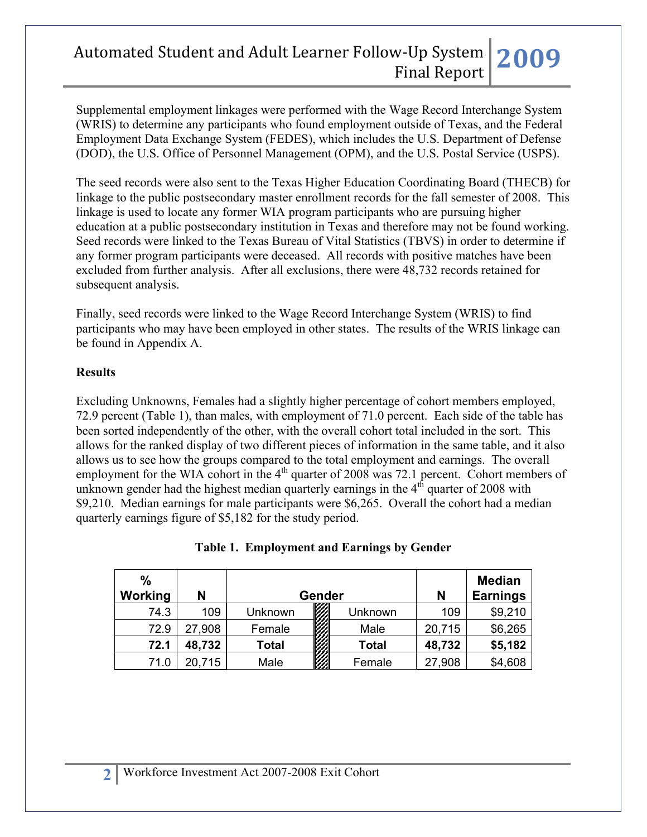Supplemental employment linkages were performed with the Wage Record Interchange System (WRIS) to determine any participants who found employment outside of Texas, and the Federal Employment Data Exchange System (FEDES), which includes the U.S. Department of Defense (DOD), the U.S. Office of Personnel Management (OPM), and the U.S. Postal Service (USPS).

The seed records were also sent to the Texas Higher Education Coordinating Board (THECB) for linkage to the public postsecondary master enrollment records for the fall semester of 2008. This linkage is used to locate any former WIA program participants who are pursuing higher education at a public postsecondary institution in Texas and therefore may not be found working. Seed records were linked to the Texas Bureau of Vital Statistics (TBVS) in order to determine if any former program participants were deceased. All records with positive matches have been excluded from further analysis. After all exclusions, there were 48,732 records retained for subsequent analysis.

Finally, seed records were linked to the Wage Record Interchange System (WRIS) to find participants who may have been employed in other states. The results of the WRIS linkage can be found in Appendix A.

#### **Results**

Excluding Unknowns, Females had a slightly higher percentage of cohort members employed, 72.9 percent (Table 1), than males, with employment of 71.0 percent. Each side of the table has been sorted independently of the other, with the overall cohort total included in the sort. This allows for the ranked display of two different pieces of information in the same table, and it also allows us to see how the groups compared to the total employment and earnings. The overall employment for the WIA cohort in the  $4<sup>th</sup>$  quarter of 2008 was 72.1 percent. Cohort members of unknown gender had the highest median quarterly earnings in the  $4<sup>th</sup>$  quarter of 2008 with \$9,210. Median earnings for male participants were \$6,265. Overall the cohort had a median quarterly earnings figure of \$5,182 for the study period.

| $\frac{0}{0}$<br>Working | N      |         | <b>Gender</b> |              | N      | <b>Median</b><br><b>Earnings</b> |
|--------------------------|--------|---------|---------------|--------------|--------|----------------------------------|
| 74.3                     | 109    | Unknown |               | Unknown      | 109    | \$9,210                          |
| 72.9                     | 27,908 | Female  |               | Male         | 20,715 | \$6,265                          |
| 72.1                     | 48,732 | Total   |               | <b>Total</b> | 48,732 | \$5,182                          |
| 71.0                     | 20,715 | Male    |               | Female       | 27,908 | \$4,608                          |

#### **Table 1. Employment and Earnings by Gender**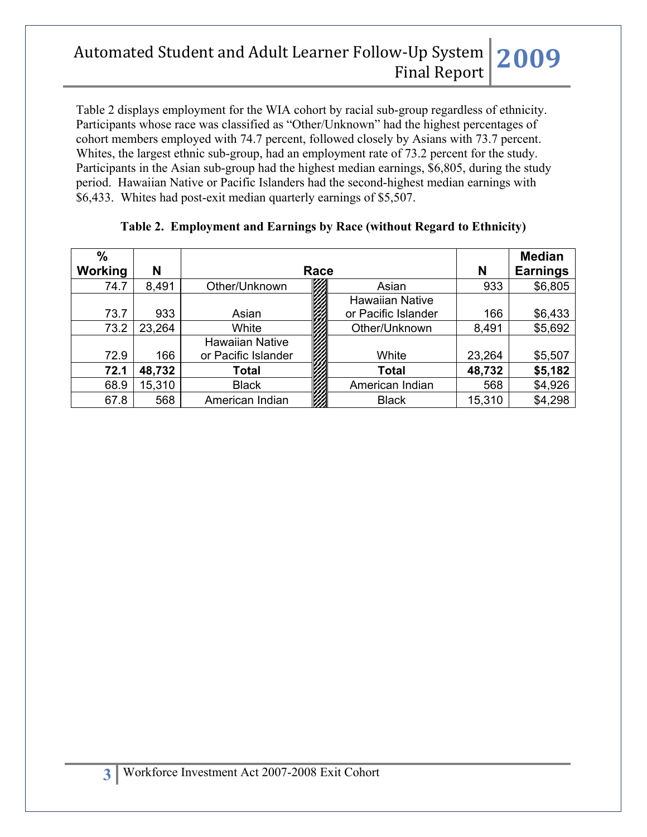Table 2 displays employment for the WIA cohort by racial sub-group regardless of ethnicity. Participants whose race was classified as "Other/Unknown" had the highest percentages of cohort members employed with 74.7 percent, followed closely by Asians with 73.7 percent. Whites, the largest ethnic sub-group, had an employment rate of 73.2 percent for the study. Participants in the Asian sub-group had the highest median earnings, \$6,805, during the study period. Hawaiian Native or Pacific Islanders had the second-highest median earnings with \$6,433. Whites had post-exit median quarterly earnings of \$5,507.

| $\%$<br>Working | N      | Race                   | N                      | <b>Median</b><br><b>Earnings</b> |         |
|-----------------|--------|------------------------|------------------------|----------------------------------|---------|
| 74.7            | 8,491  | Other/Unknown          | Asian                  | 933                              | \$6,805 |
|                 |        |                        | <b>Hawaiian Native</b> |                                  |         |
| 73.7            | 933    | Asian                  | or Pacific Islander    | 166                              | \$6,433 |
| 73.2            | 23,264 | White                  | Other/Unknown          | 8,491                            | \$5,692 |
|                 |        | <b>Hawaiian Native</b> |                        |                                  |         |
| 72.9            | 166    | or Pacific Islander    | White                  | 23,264                           | \$5,507 |
| 72.1            | 48,732 | Total                  | <b>Total</b>           | 48,732                           | \$5,182 |
| 68.9            | 15,310 | <b>Black</b>           | American Indian        | 568                              | \$4,926 |
| 67.8            | 568    | American Indian        | <b>Black</b>           | 15,310                           | \$4,298 |

### **Table 2. Employment and Earnings by Race (without Regard to Ethnicity)**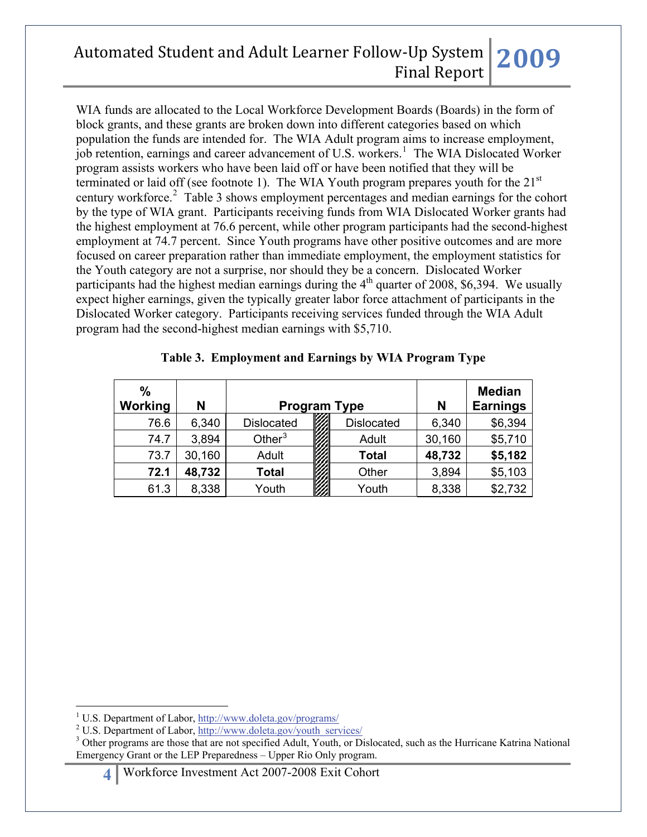WIA funds are allocated to the Local Workforce Development Boards (Boards) in the form of block grants, and these grants are broken down into different categories based on which population the funds are intended for. The WIA Adult program aims to increase employment, job retention, earnings and career advancement of U.S. workers.<sup>[1](#page-3-0)</sup> The WIA Dislocated Worker program assists workers who have been laid off or have been notified that they will be terminated or laid off (see footnote 1). The WIA Youth program prepares youth for the  $21<sup>st</sup>$ century workforce.<sup>[2](#page-3-1)</sup> Table 3 shows employment percentages and median earnings for the cohort by the type of WIA grant. Participants receiving funds from WIA Dislocated Worker grants had the highest employment at 76.6 percent, while other program participants had the second-highest employment at 74.7 percent. Since Youth programs have other positive outcomes and are more focused on career preparation rather than immediate employment, the employment statistics for the Youth category are not a surprise, nor should they be a concern. Dislocated Worker participants had the highest median earnings during the  $4<sup>th</sup>$  quarter of 2008, \$6,394. We usually expect higher earnings, given the typically greater labor force attachment of participants in the Dislocated Worker category. Participants receiving services funded through the WIA Adult program had the second-highest median earnings with \$5,710.

| $\frac{0}{0}$ |        |                     |  |                   |                 | <b>Median</b> |
|---------------|--------|---------------------|--|-------------------|-----------------|---------------|
| Working       | N      | <b>Program Type</b> |  | N                 | <b>Earnings</b> |               |
| 76.6          | 6,340  | <b>Dislocated</b>   |  | <b>Dislocated</b> | 6,340           | \$6,394       |
| 74.7          | 3,894  | Other $3$           |  | Adult             | 30,160          | \$5,710       |
| 73.7          | 30,160 | Adult               |  | <b>Total</b>      | 48,732          | \$5,182       |
| 72.1          | 48,732 | Total               |  | Other             | 3,894           | \$5,103       |
| 61.3          | 8,338  | Youth               |  | Youth             | 8,338           | \$2,732       |

#### **Table 3. Employment and Earnings by WIA Program Type**

 $\overline{a}$ <sup>1</sup> U.S. Department of Labor,  $\frac{http://www.doleta.gov/programs/}{http://www.doleta.gov/programs/}$ 

<span id="page-3-0"></span><sup>&</sup>lt;sup>2</sup> U.S. Department of Labor, [http://www.doleta.gov/youth\\_services/](http://www.doleta.gov/youth_services/)

<span id="page-3-2"></span><span id="page-3-1"></span><sup>&</sup>lt;sup>3</sup> Other programs are those that are not specified Adult, Youth, or Dislocated, such as the Hurricane Katrina National Emergency Grant or the LEP Preparedness – Upper Rio Only program.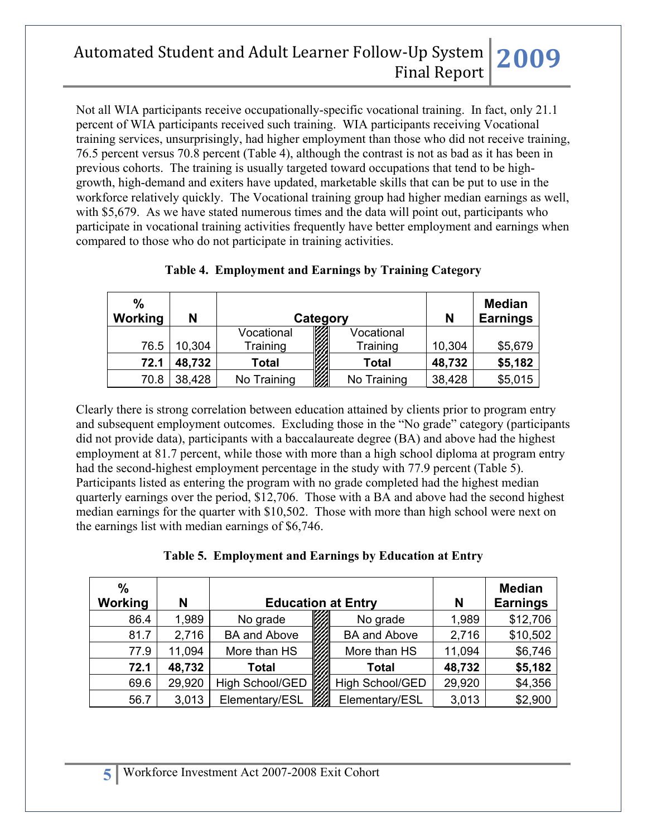Not all WIA participants receive occupationally-specific vocational training. In fact, only 21.1 percent of WIA participants received such training. WIA participants receiving Vocational training services, unsurprisingly, had higher employment than those who did not receive training, 76.5 percent versus 70.8 percent (Table 4), although the contrast is not as bad as it has been in previous cohorts. The training is usually targeted toward occupations that tend to be highgrowth, high-demand and exiters have updated, marketable skills that can be put to use in the workforce relatively quickly. The Vocational training group had higher median earnings as well, with \$5,679. As we have stated numerous times and the data will point out, participants who participate in vocational training activities frequently have better employment and earnings when compared to those who do not participate in training activities.

| $\frac{0}{0}$<br>Working | N      |              | Category               |              | N      | <b>Median</b><br><b>Earnings</b> |
|--------------------------|--------|--------------|------------------------|--------------|--------|----------------------------------|
|                          |        | Vocational   | <b>College College</b> | Vocational   |        |                                  |
| 76.5                     | 10,304 | Training     |                        | Training     | 10,304 | \$5,679                          |
| 72.1                     | 48,732 | <b>Total</b> |                        | <b>Total</b> | 48,732 | \$5,182                          |
| 70.8                     | 38,428 | No Training  |                        | No Training  | 38,428 | \$5,015                          |

### **Table 4. Employment and Earnings by Training Category**

Clearly there is strong correlation between education attained by clients prior to program entry and subsequent employment outcomes. Excluding those in the "No grade" category (participants did not provide data), participants with a baccalaureate degree (BA) and above had the highest employment at 81.7 percent, while those with more than a high school diploma at program entry had the second-highest employment percentage in the study with 77.9 percent (Table 5). Participants listed as entering the program with no grade completed had the highest median quarterly earnings over the period, \$12,706. Those with a BA and above had the second highest median earnings for the quarter with \$10,502. Those with more than high school were next on the earnings list with median earnings of \$6,746.

#### **Table 5. Employment and Earnings by Education at Entry**

| $\frac{0}{0}$<br><b>Working</b> | N      | <b>Education at Entry</b> | N   | <b>Median</b><br><b>Earnings</b> |        |          |
|---------------------------------|--------|---------------------------|-----|----------------------------------|--------|----------|
| 86.4                            | 1,989  | No grade                  |     | No grade                         | 1,989  | \$12,706 |
| 81.7                            | 2,716  | <b>BA and Above</b>       |     | <b>BA and Above</b>              | 2,716  | \$10,502 |
| 77.9                            | 11,094 | More than HS              |     | More than HS                     | 11,094 | \$6,746  |
| 72.1                            | 48,732 | <b>Total</b>              |     | <b>Total</b>                     | 48,732 | \$5,182  |
| 69.6                            | 29,920 | High School/GED           | VI. | High School/GED                  | 29,920 | \$4,356  |
| 56.7                            | 3,013  | Elementary/ESL            |     | Elementary/ESL                   | 3,013  | \$2,900  |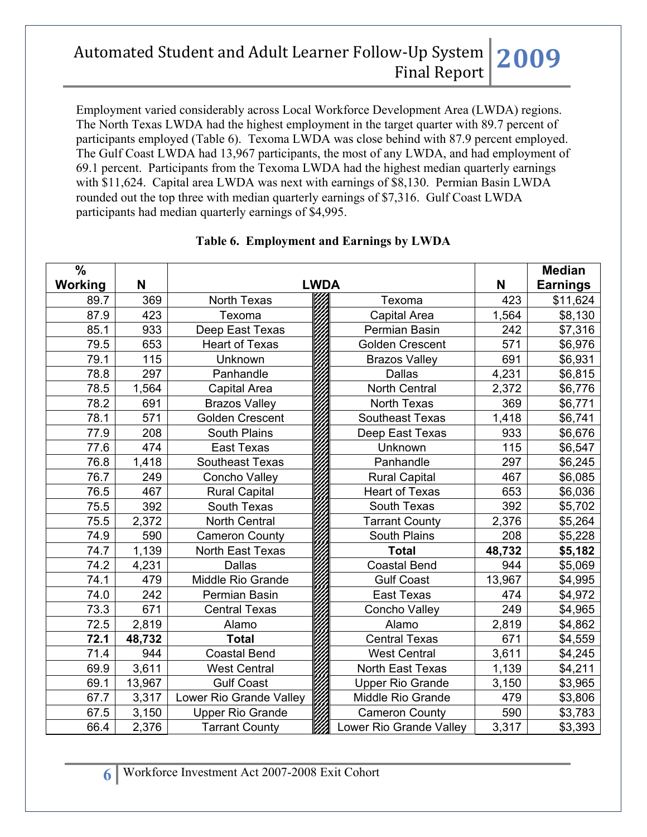Employment varied considerably across Local Workforce Development Area (LWDA) regions. The North Texas LWDA had the highest employment in the target quarter with 89.7 percent of participants employed (Table 6). Texoma LWDA was close behind with 87.9 percent employed. The Gulf Coast LWDA had 13,967 participants, the most of any LWDA, and had employment of 69.1 percent. Participants from the Texoma LWDA had the highest median quarterly earnings with \$11,624. Capital area LWDA was next with earnings of \$8,130. Permian Basin LWDA rounded out the top three with median quarterly earnings of \$7,316. Gulf Coast LWDA participants had median quarterly earnings of \$4,995.

| $\frac{0}{0}$ |        |                         |             |                         |        | <b>Median</b>   |
|---------------|--------|-------------------------|-------------|-------------------------|--------|-----------------|
| Working       | N      |                         | <b>LWDA</b> |                         | N      | <b>Earnings</b> |
| 89.7          | 369    | North Texas             |             | Texoma                  | 423    | \$11,624        |
| 87.9          | 423    | Texoma                  |             | <b>Capital Area</b>     | 1,564  | \$8,130         |
| 85.1          | 933    | Deep East Texas         |             | Permian Basin           | 242    | \$7,316         |
| 79.5          | 653    | <b>Heart of Texas</b>   |             | <b>Golden Crescent</b>  | 571    | \$6,976         |
| 79.1          | 115    | Unknown                 |             | <b>Brazos Valley</b>    | 691    | \$6,931         |
| 78.8          | 297    | Panhandle               |             | <b>Dallas</b>           | 4,231  | \$6,815         |
| 78.5          | 1,564  | Capital Area            |             | <b>North Central</b>    | 2,372  | \$6,776         |
| 78.2          | 691    | <b>Brazos Valley</b>    |             | North Texas             | 369    | \$6,771         |
| 78.1          | 571    | <b>Golden Crescent</b>  |             | <b>Southeast Texas</b>  | 1,418  | \$6,741         |
| 77.9          | 208    | South Plains            |             | Deep East Texas         | 933    | \$6,676         |
| 77.6          | 474    | <b>East Texas</b>       |             | Unknown                 | 115    | \$6,547         |
| 76.8          | 1,418  | <b>Southeast Texas</b>  |             | Panhandle               | 297    | \$6,245         |
| 76.7          | 249    | <b>Concho Valley</b>    |             | <b>Rural Capital</b>    | 467    | \$6,085         |
| 76.5          | 467    | <b>Rural Capital</b>    |             | <b>Heart of Texas</b>   | 653    | \$6,036         |
| 75.5          | 392    | South Texas             |             | South Texas             | 392    | \$5,702         |
| 75.5          | 2,372  | <b>North Central</b>    |             | <b>Tarrant County</b>   | 2,376  | \$5,264         |
| 74.9          | 590    | <b>Cameron County</b>   |             | <b>South Plains</b>     | 208    | \$5,228         |
| 74.7          | 1,139  | North East Texas        |             | <b>Total</b>            | 48,732 | \$5,182         |
| 74.2          | 4,231  | <b>Dallas</b>           |             | <b>Coastal Bend</b>     | 944    | \$5,069         |
| 74.1          | 479    | Middle Rio Grande       |             | <b>Gulf Coast</b>       | 13,967 | \$4,995         |
| 74.0          | 242    | Permian Basin           |             | <b>East Texas</b>       | 474    | \$4,972         |
| 73.3          | 671    | <b>Central Texas</b>    |             | <b>Concho Valley</b>    | 249    | \$4,965         |
| 72.5          | 2,819  | Alamo                   |             | Alamo                   | 2,819  | \$4,862         |
| 72.1          | 48,732 | <b>Total</b>            |             | <b>Central Texas</b>    | 671    | \$4,559         |
| 71.4          | 944    | <b>Coastal Bend</b>     |             | <b>West Central</b>     | 3,611  | \$4,245         |
| 69.9          | 3,611  | <b>West Central</b>     |             | North East Texas        | 1,139  | \$4,211         |
| 69.1          | 13,967 | <b>Gulf Coast</b>       |             | <b>Upper Rio Grande</b> | 3,150  | \$3,965         |
| 67.7          | 3,317  | Lower Rio Grande Valley |             | Middle Rio Grande       | 479    | \$3,806         |
| 67.5          | 3,150  | <b>Upper Rio Grande</b> |             | <b>Cameron County</b>   | 590    | \$3,783         |
| 66.4          | 2,376  | <b>Tarrant County</b>   |             | Lower Rio Grande Valley | 3,317  | \$3,393         |

#### **Table 6. Employment and Earnings by LWDA**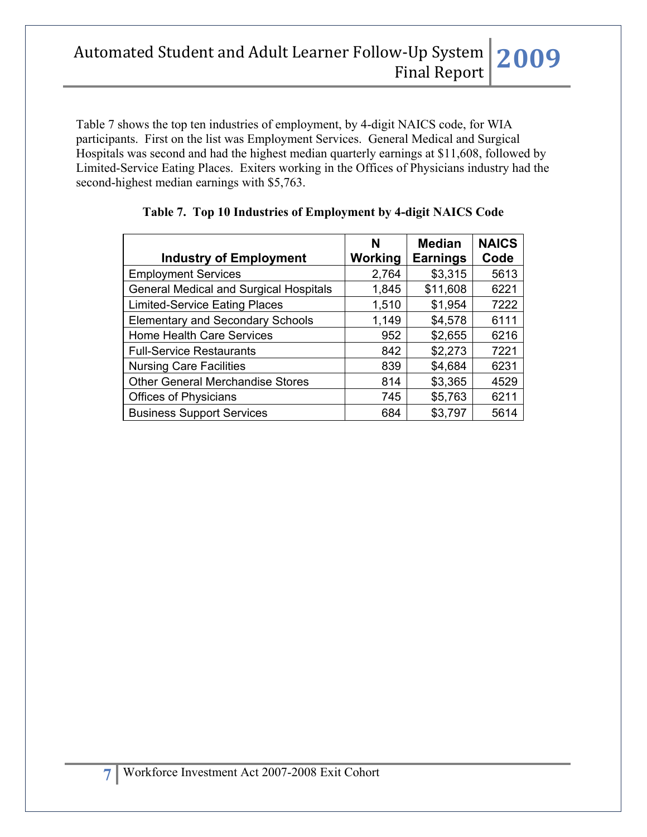Table 7 shows the top ten industries of employment, by 4-digit NAICS code, for WIA participants. First on the list was Employment Services. General Medical and Surgical Hospitals was second and had the highest median quarterly earnings at \$11,608, followed by Limited-Service Eating Places. Exiters working in the Offices of Physicians industry had the second-highest median earnings with \$5,763.

| <b>Industry of Employment</b>                 | N<br><b>Working</b> | <b>Median</b><br><b>Earnings</b> | <b>NAICS</b><br>Code |
|-----------------------------------------------|---------------------|----------------------------------|----------------------|
| <b>Employment Services</b>                    | 2,764               | \$3,315                          | 5613                 |
| <b>General Medical and Surgical Hospitals</b> | 1,845               | \$11,608                         | 6221                 |
| <b>Limited-Service Eating Places</b>          | 1,510               | \$1,954                          | 7222                 |
| <b>Elementary and Secondary Schools</b>       | 1,149               | \$4,578                          | 6111                 |
| Home Health Care Services                     | 952                 | \$2,655                          | 6216                 |
| <b>Full-Service Restaurants</b>               | 842                 | \$2,273                          | 7221                 |
| <b>Nursing Care Facilities</b>                | 839                 | \$4,684                          | 6231                 |
| <b>Other General Merchandise Stores</b>       | 814                 | \$3,365                          | 4529                 |
| <b>Offices of Physicians</b>                  | 745                 | \$5,763                          | 6211                 |
| <b>Business Support Services</b>              | 684                 | \$3,797                          | 5614                 |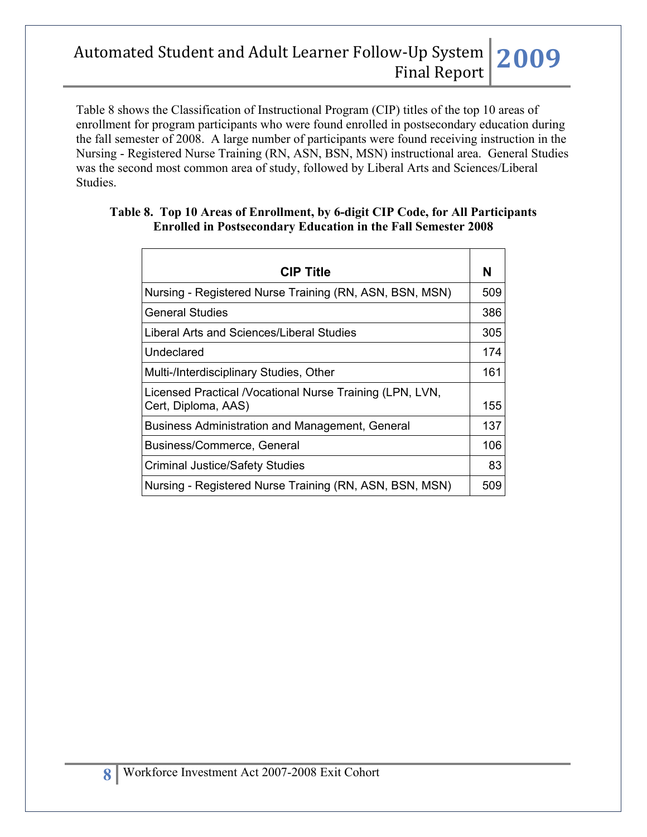Table 8 shows the Classification of Instructional Program (CIP) titles of the top 10 areas of enrollment for program participants who were found enrolled in postsecondary education during the fall semester of 2008. A large number of participants were found receiving instruction in the Nursing - Registered Nurse Training (RN, ASN, BSN, MSN) instructional area. General Studies was the second most common area of study, followed by Liberal Arts and Sciences/Liberal Studies.

#### **Table 8. Top 10 Areas of Enrollment, by 6-digit CIP Code, for All Participants Enrolled in Postsecondary Education in the Fall Semester 2008**

| <b>CIP Title</b>                                          | N   |
|-----------------------------------------------------------|-----|
|                                                           |     |
| Nursing - Registered Nurse Training (RN, ASN, BSN, MSN)   | 509 |
| <b>General Studies</b>                                    | 386 |
| Liberal Arts and Sciences/Liberal Studies                 | 305 |
| Undeclared                                                | 174 |
| Multi-/Interdisciplinary Studies, Other                   | 161 |
| Licensed Practical / Vocational Nurse Training (LPN, LVN, |     |
| Cert, Diploma, AAS)                                       | 155 |
| Business Administration and Management, General           | 137 |
| Business/Commerce, General                                | 106 |
| <b>Criminal Justice/Safety Studies</b>                    | 83  |
| Nursing - Registered Nurse Training (RN, ASN, BSN, MSN)   | 509 |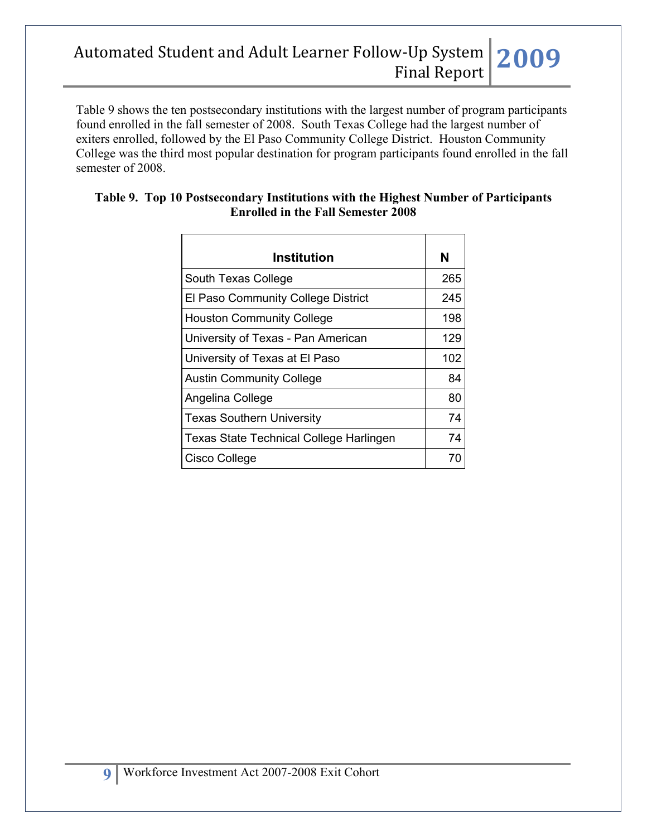Table 9 shows the ten postsecondary institutions with the largest number of program participants found enrolled in the fall semester of 2008. South Texas College had the largest number of exiters enrolled, followed by the El Paso Community College District. Houston Community College was the third most popular destination for program participants found enrolled in the fall semester of 2008.

| Institution                             | N   |
|-----------------------------------------|-----|
| South Texas College                     | 265 |
| El Paso Community College District      | 245 |
| <b>Houston Community College</b>        | 198 |
| University of Texas - Pan American      | 129 |
| University of Texas at El Paso          | 102 |
| <b>Austin Community College</b>         | 84  |
| Angelina College                        | 80  |
| <b>Texas Southern University</b>        | 74  |
| Texas State Technical College Harlingen | 74  |
| Cisco College                           | 70  |

### **Table 9. Top 10 Postsecondary Institutions with the Highest Number of Participants Enrolled in the Fall Semester 2008**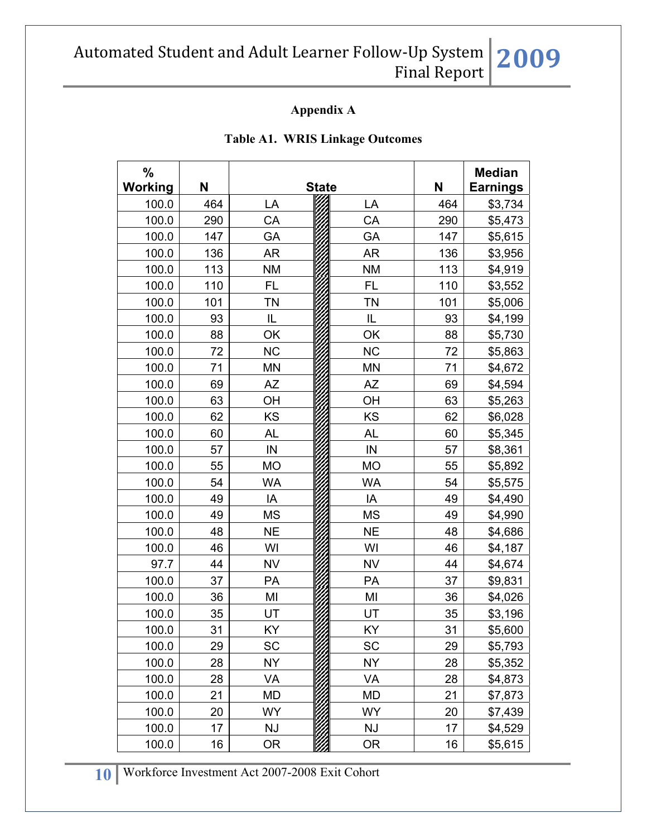### **Appendix A**

| $\%$<br><b>Working</b> | N   |           | <b>State</b> |           | N   | <b>Median</b><br><b>Earnings</b> |
|------------------------|-----|-----------|--------------|-----------|-----|----------------------------------|
| 100.0                  | 464 | LA        |              | LA        | 464 | \$3,734                          |
| 100.0                  | 290 | CA        |              | CA        | 290 | \$5,473                          |
| 100.0                  | 147 | GA        |              | GA        | 147 | \$5,615                          |
| 100.0                  | 136 | AR        |              | AR        | 136 | \$3,956                          |
| 100.0                  | 113 | <b>NM</b> |              | <b>NM</b> | 113 | \$4,919                          |
| 100.0                  | 110 | <b>FL</b> |              | FL        | 110 | \$3,552                          |
| 100.0                  | 101 | <b>TN</b> |              | <b>TN</b> | 101 | \$5,006                          |
| 100.0                  | 93  | IL        |              | IL        | 93  | \$4,199                          |
| 100.0                  | 88  | OK        |              | OK        | 88  | \$5,730                          |
| 100.0                  | 72  | <b>NC</b> |              | <b>NC</b> | 72  | \$5,863                          |
| 100.0                  | 71  | <b>MN</b> |              | MN        | 71  | \$4,672                          |
| 100.0                  | 69  | AZ        |              | <b>AZ</b> | 69  | \$4,594                          |
| 100.0                  | 63  | OH        |              | OH        | 63  | \$5,263                          |
| 100.0                  | 62  | <b>KS</b> |              | KS        | 62  | \$6,028                          |
| 100.0                  | 60  | AL        |              | <b>AL</b> | 60  | \$5,345                          |
| 100.0                  | 57  | IN        |              | $\sf IN$  | 57  | \$8,361                          |
| 100.0                  | 55  | <b>MO</b> |              | <b>MO</b> | 55  | \$5,892                          |
| 100.0                  | 54  | <b>WA</b> |              | <b>WA</b> | 54  | \$5,575                          |
| 100.0                  | 49  | IA        |              | IA        | 49  | \$4,490                          |
| 100.0                  | 49  | <b>MS</b> |              | <b>MS</b> | 49  | \$4,990                          |
| 100.0                  | 48  | <b>NE</b> |              | <b>NE</b> | 48  | \$4,686                          |
| 100.0                  | 46  | WI        |              | WI        | 46  | \$4,187                          |
| 97.7                   | 44  | <b>NV</b> |              | <b>NV</b> | 44  | \$4,674                          |
| 100.0                  | 37  | PA        |              | PA        | 37  | \$9,831                          |
| 100.0                  | 36  | MI        |              | MI        | 36  | \$4,026                          |
| 100.0                  | 35  | UT        |              | UT        | 35  | \$3,196                          |
| 100.0                  | 31  | KY        |              | KY        | 31  | \$5,600                          |
| 100.0                  | 29  | SC        |              | <b>SC</b> | 29  | \$5,793                          |
| 100.0                  | 28  | <b>NY</b> |              | <b>NY</b> | 28  | \$5,352                          |
| 100.0                  | 28  | VA        |              | VA        | 28  | \$4,873                          |
| 100.0                  | 21  | MD        |              | MD        | 21  | \$7,873                          |
| 100.0                  | 20  | <b>WY</b> |              | <b>WY</b> | 20  | \$7,439                          |
| 100.0                  | 17  | <b>NJ</b> |              | <b>NJ</b> | 17  | \$4,529                          |
| 100.0                  | 16  | 0R        |              | OR.       | 16  | \$5,615                          |

#### **Table A1. WRIS Linkage Outcomes**

**10** Workforce Investment Act 2007-2008 Exit Cohort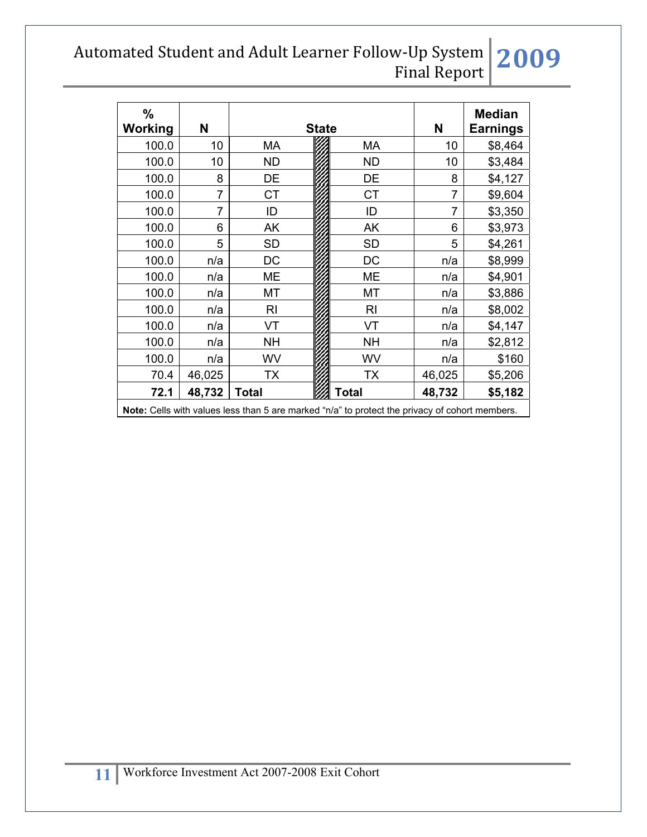| $\frac{9}{6}$<br>Working                                                                              | N              |                | <b>State</b> | Ν              | <b>Median</b><br><b>Earnings</b> |         |  |
|-------------------------------------------------------------------------------------------------------|----------------|----------------|--------------|----------------|----------------------------------|---------|--|
| 100.0                                                                                                 | 10             | МA             |              | МA             | 10                               | \$8,464 |  |
| 100.0                                                                                                 | 10             | <b>ND</b>      |              | <b>ND</b>      | 10                               | \$3,484 |  |
| 100.0                                                                                                 | 8              | DE             |              | DE             | 8                                | \$4,127 |  |
| 100.0                                                                                                 | 7              | <b>CT</b>      |              | <b>CT</b>      | 7                                | \$9,604 |  |
| 100.0                                                                                                 | $\overline{7}$ | ID             |              | ID             | 7                                | \$3,350 |  |
| 100.0                                                                                                 | 6              | АK             |              | AK             | 6                                | \$3,973 |  |
| 100.0                                                                                                 | 5              | <b>SD</b>      |              | <b>SD</b>      | 5                                | \$4,261 |  |
| 100.0                                                                                                 | n/a            | DC             |              | DC             | n/a                              | \$8,999 |  |
| 100.0                                                                                                 | n/a            | ME             |              | ME             | n/a                              | \$4,901 |  |
| 100.0                                                                                                 | n/a            | МT             |              | МT             | n/a                              | \$3,886 |  |
| 100.0                                                                                                 | n/a            | R <sub>l</sub> |              | R <sub>l</sub> | n/a                              | \$8,002 |  |
| 100.0                                                                                                 | n/a            | VT             |              | VT             | n/a                              | \$4,147 |  |
| 100.0                                                                                                 | n/a            | NΗ             |              | <b>NH</b>      | n/a                              | \$2,812 |  |
| 100.0                                                                                                 | n/a            | WV             |              | WV             | n/a                              | \$160   |  |
| 70.4                                                                                                  | 46,025         | TX             |              | ТX             | 46,025                           | \$5,206 |  |
| 72.1                                                                                                  | 48,732         | <b>Total</b>   |              | Total          | 48,732                           | \$5,182 |  |
| <b>Note:</b> Cells with values less than 5 are marked "n/a" to protect the privacy of cohort members. |                |                |              |                |                                  |         |  |